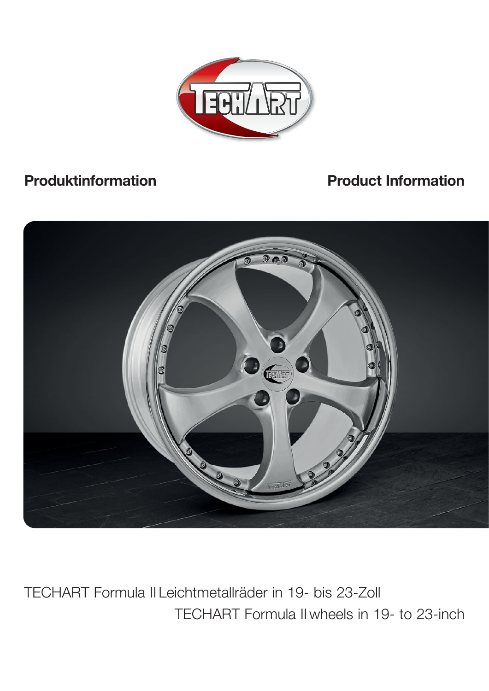

# **Produktinformation Product Information**



TECHART Formula II wheels in 19- to 23-inch TECHART Formula II Leichtmetallräder in 19- bis 23-Zoll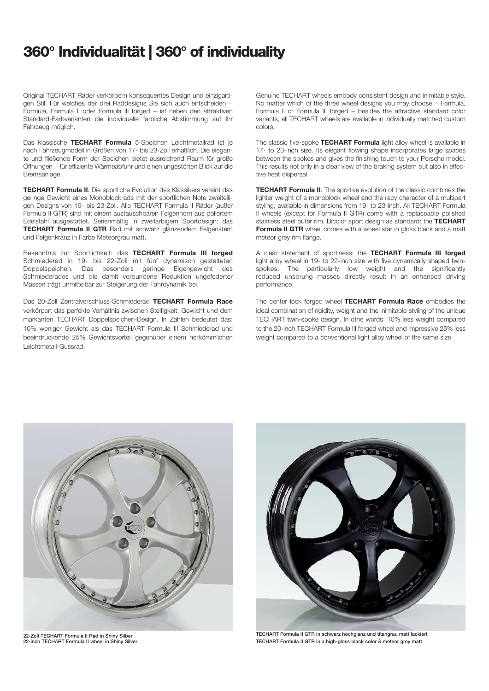#### **360° Individualität | 360° of individuality**

Original TECHART Räder verkörpern konsequentes Design und einzigartigen Stil. Für welches der drei Raddesigns Sie sich auch entscheiden − Formula, Formula II oder Formula III forged − ist neben den attraktiven Standard-Farbvarianten die individuelle farbliche Abstimmung auf Ihr Fahrzeug möglich.

Das klassische **TECHART Formula** 5-Speichen Leichtmetallrad ist je nach Fahrzeugmodell in Größen von 17- bis 23-Zoll erhältlich. Die elegante und fließende Form der Speichen bietet ausreichend Raum für große Öffnungen − für effiziente Wärmeabfuhr und einen ungestörten Blick auf die Bremsanlage.

**TECHART Formula II**. Die sportliche Evolution des Klassikers vereint das geringe Gewicht eines Monoblockrads mit der sportlichen Note zweiteiligen Designs von 19- bis 23-Zoll. Alle TECHART Formula II Räder (außer Formula II GTR) sind mit einem austauschbaren Felgenhorn aus poliertem Edelstahl ausgestattet. Serienmäßig in zweifarbigem Sportdesign: das **TECHART Formula II GTR** Rad mit schwarz glänzendem Felgenstern und Felgenkranz in Farbe Meteorgrau matt.

Bekenntnis zur Sportlichkeit: das **TECHART Formula III forged** Schmiederad in 19- bis 22-Zoll mit fünf dynamisch gestalteten Doppelspeichen. Das besonders geringe Eigengewicht des Schmiederades und die damit verbundene Reduktion ungefederter Massen trägt unmittelbar zur Steigerung der Fahrdynamik bei.

Das 20-Zoll Zentralverschluss-Schmiederad **TECHART Formula Race** verkörpert das perfekte Verhältnis zwischen Steifigkeit, Gewicht und dem markanten TECHART Doppelspeichen-Design. In Zahlen bedeutet das: 10% weniger Gewicht als das TECHART Formula III Schmiederad und beeindruckende 25% Gewichtsvorteil gegenüber einem herkömmlichen Leichtmetall-Gussrad.

Genuine TECHART wheels embody consistent design and inimitable style. No matter which of the three wheel designs you may choose - Formula, Formula II or Formula III forged − besides the attractive standard color variants, all TECHART wheels are available in individually matched custom colors.

The classic five-spoke **TECHART Formula** light alloy wheel is available in 17- to 23-inch size. Its elegant flowing shape incorporates large spaces between the spokes and gives the finishing touch to your Porsche model. This results not only in a clear view of the braking system but also in effective heat dispersal.

**TECHART Formula II**. The sportive evolution of the classic combines the lighter weight of a monoblock wheel and the racy character of a multipart styling, available in dimensions from 19- to 23-inch. All TECHART Formula II wheels (except for Formula II GTR) come with a replaceable polished stainless steel outer rim. Bicolor sport design as standard: the **TECHART Formula II GTR** wheel comes with a wheel star in gloss black and a matt meteor grey rim flange.

A clear statement of sportiness: the **TECHART Formula III forged** light alloy wheel in 19- to 22-inch size with five dynamically shaped twinspokes. The particularly low weight and the significantly reduced unsprung masses directly result in an enhanced driving performance.

The center lock forged wheel **TECHART Formula Race** embodies the ideal combination of rigidity, weight and the inimitable styling of the unique TECHART twin-spoke design. In othe words: 10% less weight compared to the 20-inch TECHART Formula III forged wheel and impressive 25% less weight compared to a conventional light alloy wheel of the same size.



**22-Zoll TECHART Formula II Rad in Shiny Silber 22-inch TECHART Formula II wheel in Shiny Silver**



**TECHART Formula II GTR in schwarz hochglanz und titangrau matt lackiert TECHART Formula II GTR in a high-gloss black color & meteor grey matt**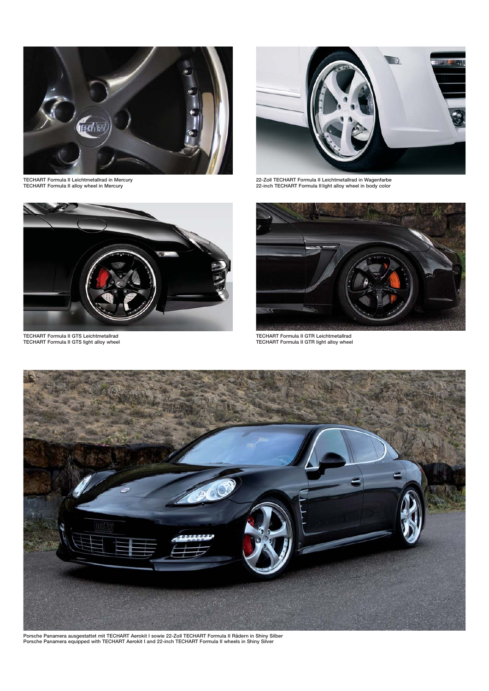

**TECHART Formula II Leichtmetallrad in Mercury TECHART Formula II alloy wheel in Mercury**



**22-Zoll TECHART Formula II Leichtmetallrad in Wagenfarbe 22-inch TECHART Formula II light alloy wheel in body color**



**TECHART Formula II GTS Leichtmetallrad TECHART Formula II GTS light alloy wheel**



**TECHART Formula II GTR Leichtmetallrad TECHART Formula II GTR light alloy wheel**



**Porsche Panamera ausgestattet mit TECHART Aerokit I sowie 22-Zoll TECHART Formula II Rädern in Shiny Silber Porsche Panamera equipped with TECHART Aerokit I and 22-inch TECHART Formula II wheels in Shiny Silver**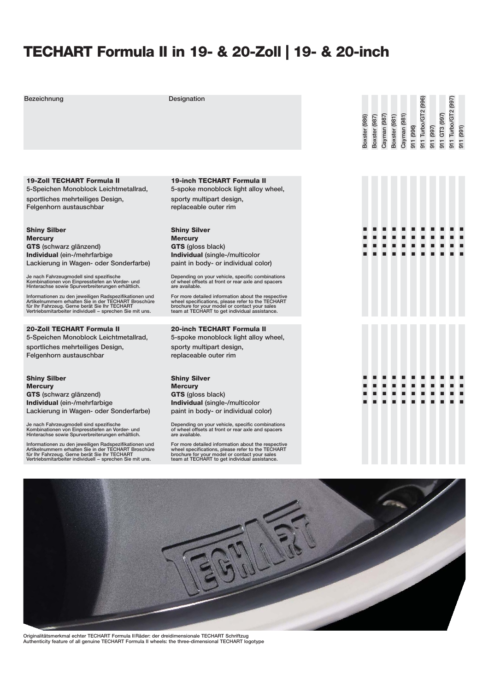### **TECHART Formula II in 19- & 20-Zoll | 19- & 20-inch**

**Bezeichnung Designation** 911 Turbo/GT2 (996) **911 Turbo/GT2 (996)** 11 Turbo/GT2 (997) **911 Turbo/GT2 (997)** 11 GT3 (997) **Boxster** (987) Cayman (987) Boxster (981) Cayman (981) **911 GT3 (997)** Boxster (986) **Cayman (987) Cayman (981) Boxster (986) Boxster (987) Boxster (981) 911 (996) 911 (997) 911 (991)19-Zoll TECHART Formula II 19-inch TECHART Formula II 5-Speichen Monoblock Leichtmetallrad, 5-spoke monoblock light alloy wheel, sportliches mehrteiliges Design, sporty multipart design, Felgenhorn austauschbar replaceable outer rim Shiny Silber Shiny Silver** 0000000000000**Mercury Mercury** 00000 0000 $\blacksquare$ 00000000**GTS (schwarz glänzend) GTS (gloss black)** 00**Individual (ein-/mehrfarbige Individual (single-/multicolor** 00000000000**Lackierung in Wagen- oder Sonderfarbe) paint in body- or individual color) Je nach Fahrzeugmodell sind spezifische Kombinationen von Einpresstiefen an Vorder- und Hinterachse sowie Spurverbreiterungen erhältlich. Depending on your vehicle, specific combinations of wheel offsets at front or rear axle and spacers are available.** Informationen zu den jeweiligen Radspezifikationen und<br>Artikelnummern erhalten Sie in der TECHART Broschüre<br>für Ihr Fahrzeug. Gerne berät Sie Ihr TECHART<br>Vertriebsmitarbeiter individuell – sprechen Sie mit uns. **For more detailed information about the respective wheel specifications, please refer to the TECHART brochure for your model or contact your sales team at TECHART to get individual assistance. 20-Zoll TECHART Formula II 20-inch TECHART Formula II 5-Speichen Monoblock Leichtmetallrad, 5-spoke monoblock light alloy wheel, sportliches mehrteiliges Design, sporty multipart design, Felgenhorn austauschbar replaceable outer rim** 00000000000**Shiny Silber Shiny Silver** 000000**Mercury Mercury** 00000**GTS (schwarz glänzend) GTS (gloss black)** 0000000000000000000000**Individual (ein-/mehrfarbige Individual (single-/multicolor Lackierung in Wagen- oder Sonderfarbe) paint in body- or individual color) Je nach Fahrzeugmodell sind spezifische Kombinationen von Einpresstiefen an Vorder- und Hinterachse sowie Spurverbreiterungen erhältlich. Depending on your vehicle, specific combinations of wheel offsets at front or rear axle and spacers are available.** Informationen zu den jeweiligen Radspezifikationen und<br>Artikelnummern erhalten Sie in der TECHART Broschüre<br>für Ihr Fahrzeug. Gerne berät Sie Ihr TECHART<br>Vertriebsmitarbeiter individuell – sprechen Sie mit uns. **For more detailed information about the respective wheel specifications, please refer to the TECHART brochure for your model or contact your sales team at TECHART to get individual assistance.**

**Originalitätsmerkmal echter TECHART Formula II Räder: der dreidimensionale TECHART Schriftzug Authenticity feature of all genuine TECHART Formula II wheels: the three-dimensional TECHART logotype**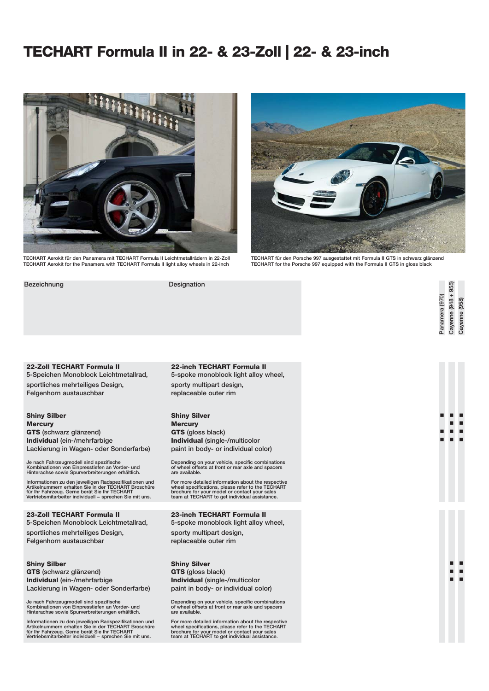### **TECHART Formula II in 22- & 23-Zoll | 22- & 23-inch**



**TECHART Aerokit für den Panamera mit TECHART Formula II Leichtmetallrädern in 22-Zoll TECHART Aerokit for the Panamera with TECHART Formula II light alloy wheels in 22-inch**

**Bezeichnung Designation**



**TECHART für den Porsche 997 ausgestattet mit Formula II GTS in schwarz glänzend TECHART for the Porsche 997 equipped with the Formula II GTS in gloss black** 

**22-Zoll TECHART Formula II 5-Speichen Monoblock Leichtmetallrad, sportliches mehrteiliges Design, Felgenhorn austauschbar**

**Shiny Silber Mercury GTS (schwarz glänzend) Individual (ein-/mehrfarbige Lackierung in Wagen- oder Sonderfarbe)**

**Je nach Fahrzeugmodell sind spezifische Kombinationen von Einpresstiefen an Vorder- und Hinterachse sowie Spurverbreiterungen erhältlich.**

Informationen zu den jeweiligen Radspezifikationen und<br>Artikelnummern erhalten Sie in der TECHART Broschüre<br>für Ihr Fahrzeug. Gerne berät Sie Ihr TECHART<br>Vertriebsmitarbeiter individuell – sprechen Sie mit uns.

**23-Zoll TECHART Formula II 5-Speichen Monoblock Leichtmetallrad,**

**sportliches mehrteiliges Design, Felgenhorn austauschbar**

**Shiny Silber GTS (schwarz glänzend) Individual (ein-/mehrfarbige Lackierung in Wagen- oder Sonderfarbe)**

**Je nach Fahrzeugmodell sind spezifische Kombinationen von Einpresstiefen an Vorder- und Hinterachse sowie Spurverbreiterungen erhältlich.**

**Informationen zu den jeweiligen Radspezifikationen und Artikelnummern erhalten Sie in der TECHART Broschüre für Ihr Fahrzeug. Gerne berät Sie Ihr TECHART Vertriebsmitarbeiter individuell − sprechen Sie mit uns.**

**22-inch TECHART Formula II 5-spoke monoblock light alloy wheel, sporty multipart design, replaceable outer rim**

**Shiny Silver Mercury GTS (gloss black) Individual (single-/multicolor paint in body- or individual color)**

**Depending on your vehicle, specific combinations of wheel offsets at front or rear axle and spacers are available.**

**For more detailed information about the respective wheel specifications, please refer to the TECHART brochure for your model or contact your sales team at TECHART to get individual assistance.**

**23-inch TECHART Formula II**

**5-spoke monoblock light alloy wheel,**

**sporty multipart design, replaceable outer rim**

**Shiny Silver GTS (gloss black)**

**Individual (single-/multicolor paint in body- or individual color)**

**Depending on your vehicle, specific combinations of wheel offsets at front or rear axle and spacers are available.**

**For more detailed information about the respective wheel specifications, please refer to the TECHART brochure for your model or contact your sales team at TECHART to get individual assistance.**

Cayenne (948 + 955) **Cayenne (948 + 955)** Panamera (970) **Panamera (970)** Cayenne (958) **Cayenne (958)**

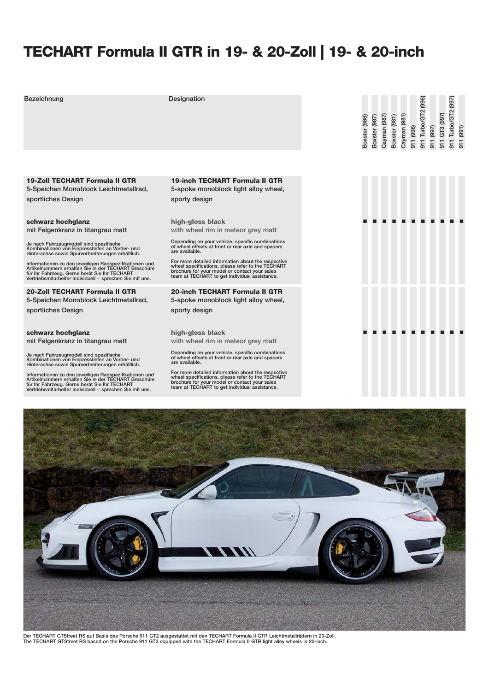# **TECHART Formula II GTR in 19- & 20-Zoll | 19- & 20-inch**

| Bezeichnung                                                                                                                                                                                                                 | Designation                                                                                                                                                                                               | Boxster (986) | Boxster (987) | Cayman (987) | Boxster (981) | Cayman (981) | 911 (996) | 911 Turbo/GT2 (996) |
|-----------------------------------------------------------------------------------------------------------------------------------------------------------------------------------------------------------------------------|-----------------------------------------------------------------------------------------------------------------------------------------------------------------------------------------------------------|---------------|---------------|--------------|---------------|--------------|-----------|---------------------|
|                                                                                                                                                                                                                             |                                                                                                                                                                                                           |               |               |              |               |              |           |                     |
| <b>19-Zoll TECHART Formula II GTR</b><br>5-Speichen Monoblock Leichtmetallrad,                                                                                                                                              | <b>19-inch TECHART Formula II GTR</b><br>5-spoke monoblock light alloy wheel,                                                                                                                             |               |               |              |               |              |           |                     |
| sportliches Design                                                                                                                                                                                                          | sporty design                                                                                                                                                                                             |               |               |              |               |              |           |                     |
| schwarz hochglanz                                                                                                                                                                                                           | high-gloss black                                                                                                                                                                                          |               |               |              |               |              |           |                     |
| mit Felgenkranz in titangrau matt                                                                                                                                                                                           | with wheel rim in meteor grey matt                                                                                                                                                                        |               |               |              |               |              |           |                     |
| Je nach Fahrzeugmodell sind spezifische<br>Kombinationen von Einpresstiefen an Vorder- und<br>Hinterachse sowie Spurverbreiterungen erhältlich.                                                                             | Depending on your vehicle, specific combinations<br>of wheel offsets at front or rear axle and spacers<br>are available.                                                                                  |               |               |              |               |              |           |                     |
| Informationen zu den jeweiligen Radspezifikationen und<br>Artikelnummern erhalten Sie in der TECHART Broschüre<br>für Ihr Fahrzeug. Gerne berät Sie Ihr TECHART<br>Vertriebsmitarbeiter individuell - sprechen Sie mit uns. | For more detailed information about the respective<br>wheel specifications, please refer to the TECHART<br>brochure for your model or contact your sales<br>team at TECHART to get individual assistance. |               |               |              |               |              |           |                     |
| 20-Zoll TECHART Formula II GTR                                                                                                                                                                                              | <b>20-inch TECHART Formula II GTR</b>                                                                                                                                                                     |               |               |              |               |              |           |                     |
| 5-Speichen Monoblock Leichtmetallrad,<br>sportliches Design                                                                                                                                                                 | 5-spoke monoblock light alloy wheel,<br>sporty design                                                                                                                                                     |               |               |              |               |              |           |                     |
|                                                                                                                                                                                                                             |                                                                                                                                                                                                           |               |               |              |               |              |           |                     |
| schwarz hochglanz                                                                                                                                                                                                           | high-gloss black                                                                                                                                                                                          |               |               |              |               |              |           |                     |
| mit Felgenkranz in titangrau matt                                                                                                                                                                                           | with wheel rim in meteor grey matt                                                                                                                                                                        |               |               |              |               |              |           |                     |
| Je nach Fahrzeugmodell sind spezifische<br>Kombinationen von Einpresstiefen an Vorder- und<br>Hinterachse sowie Spurverbreiterungen erhältlich.                                                                             | Depending on your vehicle, specific combinations<br>of wheel offsets at front or rear axle and spacers<br>are available.                                                                                  |               |               |              |               |              |           |                     |
| Informationen zu den jeweiligen Radspezifikationen und<br>Artikelnummern erhalten Sie in der TECHART Broschüre<br>für Ihr Fahrzeug. Gerne berät Sie Ihr TECHART<br>Vertriebsmitarbeiter individuell - sprechen Sie mit uns. | For more detailed information about the respective<br>wheel specifications, please refer to the TECHART<br>brochure for your model or contact your sales<br>team at TECHART to get individual assistance. |               |               |              |               |              |           |                     |



Der TECHART GTStreet RS auf Basis des Porsche 911 GT2 ausgestattet mit den TECHART Formula II GTR Leichtmetallrädern in 20-Zoll.<br>The TECHART GTStreet RS based on the Porsche 911 GT2 equipped with the TECHART Formula II GTR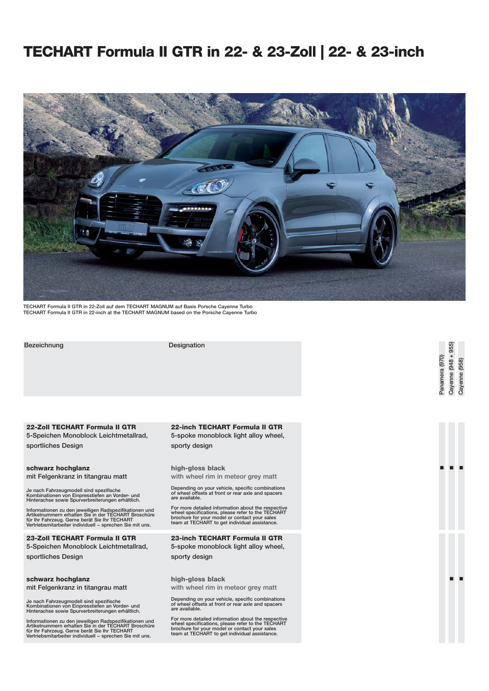## **TECHART Formula II GTR in 22- & 23-Zoll | 22- & 23-inch**



**TECHART Formula II GTR in 22-Zoll auf dem TECHART MAGNUM auf Basis Porsche Cayenne Turbo TECHART Formula II GTR in 22-inch at the TECHART MAGNUM based on the Porsche Cayenne Turbo**

**Bezeichnung Designation**

**22-Zoll TECHART Formula II GTR 5-Speichen Monoblock Leichtmetallrad, sportliches Design**

**schwarz hochglanz mit Felgenkranz in titangrau matt**

**Je nach Fahrzeugmodell sind spezifische Kombinationen von Einpresstiefen an Vorder- und Hinterachse sowie Spurverbreiterungen erhältlich.**

Informationen zu den jeweiligen Radspezifikationen und<br>Artikelnummern erhalten Sie in der TECHART Broschüre<br>für Ihr Fahrzeug. Gerne berät Sie Ihr TECHART<br>Vertriebsmitarbeiter individuell – sprechen Sie mit uns.

**23-Zoll TECHART Formula II GTR 5-Speichen Monoblock Leichtmetallrad, sportliches Design**

#### **schwarz hochglanz mit Felgenkranz in titangrau matt**

**Je nach Fahrzeugmodell sind spezifische Kombinationen von Einpresstiefen an Vorder- und Hinterachse sowie Spurverbreiterungen erhältlich.**

Informationen zu den jeweiligen Radspezifikationen und<br>Artikelnummern erhalten Sie in der TECHART Broschüre<br>für Ihr Fahrzeug. Gerne berät Sie Ihr TECHART<br>Vertriebsmitarbeiter individuell – sprechen Sie mit uns.

#### **22-inch TECHART Formula II GTR 5-spoke monoblock light alloy wheel, sporty design**

00 0

**Panamera (970) Cayenne (948 + 955) Cayenne (958)**

Cayenne (948 + 955) Panamera (970)

Cayenne (958)

00

**high-gloss black with wheel rim in meteor grey matt**

**Depending on your vehicle, specific combinations of wheel offsets at front or rear axle and spacers are available.**

**For more detailed information about the respective wheel specifications, please refer to the TECHART brochure for your model or contact your sales team at TECHART to get individual assistance.**

**23-inch TECHART Formula II GTR 5-spoke monoblock light alloy wheel, sporty design**

**high-gloss black**

**with wheel rim in meteor grey matt**

**Depending on your vehicle, specific combinations of wheel offsets at front or rear axle and spacers are available.**

**For more detailed information about the respective wheel specifications, please refer to the TECHART brochure for your model or contact your sales team at TECHART to get individual assistance.**